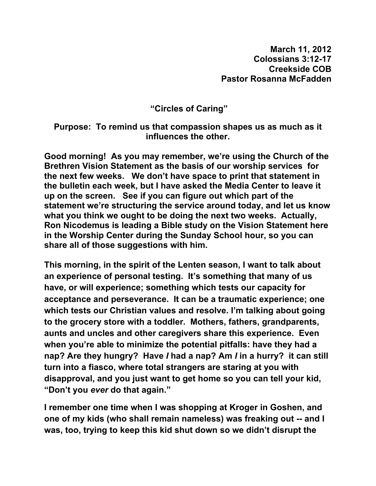**"Circles of Caring"** 

## **Purpose: To remind us that compassion shapes us as much as it influences the other.**

**Good morning! As you may remember, we're using the Church of the Brethren Vision Statement as the basis of our worship services for the next few weeks. We don't have space to print that statement in the bulletin each week, but I have asked the Media Center to leave it up on the screen. See if you can figure out which part of the statement we're structuring the service around today, and let us know what you think we ought to be doing the next two weeks. Actually, Ron Nicodemus is leading a Bible study on the Vision Statement here in the Worship Center during the Sunday School hour, so you can share all of those suggestions with him.** 

**This morning, in the spirit of the Lenten season, I want to talk about an experience of personal testing. It's something that many of us have, or will experience; something which tests our capacity for acceptance and perseverance. It can be a traumatic experience; one which tests our Christian values and resolve. I'm talking about going to the grocery store with a toddler. Mothers, fathers, grandparents, aunts and uncles and other caregivers share this experience. Even when you're able to minimize the potential pitfalls: have they had a nap? Are they hungry? Have** *I* **had a nap? Am** *I* **in a hurry? it can still turn into a fiasco, where total strangers are staring at you with disapproval, and you just want to get home so you can tell your kid, "Don't you** *ever* **do that again."** 

**I remember one time when I was shopping at Kroger in Goshen, and one of my kids (who shall remain nameless) was freaking out -- and I was, too, trying to keep this kid shut down so we didn't disrupt the**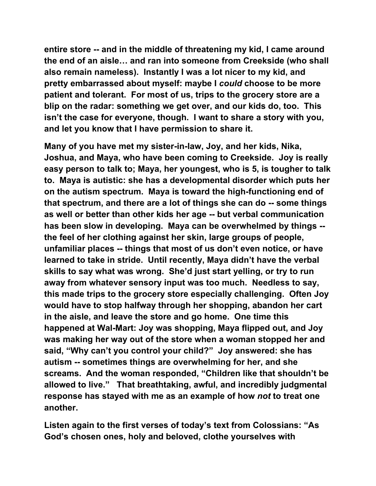**entire store -- and in the middle of threatening my kid, I came around the end of an aisle… and ran into someone from Creekside (who shall also remain nameless). Instantly I was a lot nicer to my kid, and pretty embarrassed about myself: maybe I** *could* **choose to be more patient and tolerant. For most of us, trips to the grocery store are a blip on the radar: something we get over, and our kids do, too. This isn't the case for everyone, though. I want to share a story with you, and let you know that I have permission to share it.** 

**Many of you have met my sister-in-law, Joy, and her kids, Nika, Joshua, and Maya, who have been coming to Creekside. Joy is really easy person to talk to; Maya, her youngest, who is 5, is tougher to talk to. Maya is autistic: she has a developmental disorder which puts her on the autism spectrum. Maya is toward the high-functioning end of that spectrum, and there are a lot of things she can do -- some things as well or better than other kids her age -- but verbal communication has been slow in developing. Maya can be overwhelmed by things - the feel of her clothing against her skin, large groups of people, unfamiliar places -- things that most of us don't even notice, or have learned to take in stride. Until recently, Maya didn't have the verbal skills to say what was wrong. She'd just start yelling, or try to run away from whatever sensory input was too much. Needless to say, this made trips to the grocery store especially challenging. Often Joy would have to stop halfway through her shopping, abandon her cart in the aisle, and leave the store and go home. One time this happened at Wal-Mart: Joy was shopping, Maya flipped out, and Joy was making her way out of the store when a woman stopped her and said, "Why can't you control your child?" Joy answered: she has autism -- sometimes things are overwhelming for her, and she screams. And the woman responded, "Children like that shouldn't be allowed to live." That breathtaking, awful, and incredibly judgmental response has stayed with me as an example of how** *not* **to treat one another.** 

**Listen again to the first verses of today's text from Colossians: "As God's chosen ones, holy and beloved, clothe yourselves with**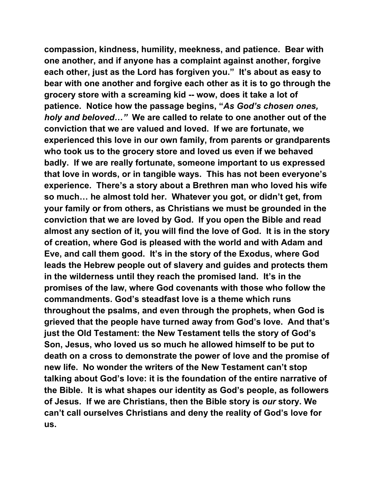**compassion, kindness, humility, meekness, and patience. Bear with one another, and if anyone has a complaint against another, forgive each other, just as the Lord has forgiven you." It's about as easy to bear with one another and forgive each other as it is to go through the grocery store with a screaming kid -- wow, does it take a lot of patience. Notice how the passage begins, "***As God's chosen ones, holy and beloved…"* **We are called to relate to one another out of the conviction that we are valued and loved. If we are fortunate, we experienced this love in our own family, from parents or grandparents who took us to the grocery store and loved us even if we behaved badly. If we are really fortunate, someone important to us expressed that love in words, or in tangible ways. This has not been everyone's experience. There's a story about a Brethren man who loved his wife so much… he almost told her. Whatever you got, or didn't get, from your family or from others, as Christians we must be grounded in the conviction that we are loved by God. If you open the Bible and read almost any section of it, you will find the love of God. It is in the story of creation, where God is pleased with the world and with Adam and Eve, and call them good. It's in the story of the Exodus, where God leads the Hebrew people out of slavery and guides and protects them in the wilderness until they reach the promised land. It's in the promises of the law, where God covenants with those who follow the commandments. God's steadfast love is a theme which runs throughout the psalms, and even through the prophets, when God is grieved that the people have turned away from God's love. And that's just the Old Testament: the New Testament tells the story of God's Son, Jesus, who loved us so much he allowed himself to be put to death on a cross to demonstrate the power of love and the promise of new life. No wonder the writers of the New Testament can't stop talking about God's love: it is the foundation of the entire narrative of the Bible. It is what shapes our identity as God's people, as followers of Jesus. If we are Christians, then the Bible story is** *our* **story. We can't call ourselves Christians and deny the reality of God's love for us.**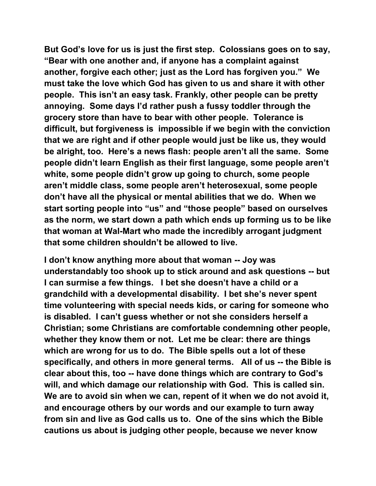**But God's love for us is just the first step. Colossians goes on to say, "Bear with one another and, if anyone has a complaint against another, forgive each other; just as the Lord has forgiven you." We must take the love which God has given to us and share it with other people. This isn't an easy task. Frankly, other people can be pretty annoying. Some days I'd rather push a fussy toddler through the grocery store than have to bear with other people. Tolerance is difficult, but forgiveness is impossible if we begin with the conviction that we are right and if other people would just be like us, they would be alright, too. Here's a news flash: people aren't all the same. Some people didn't learn English as their first language, some people aren't white, some people didn't grow up going to church, some people aren't middle class, some people aren't heterosexual, some people don't have all the physical or mental abilities that we do. When we start sorting people into "us" and "those people" based on ourselves as the norm, we start down a path which ends up forming us to be like that woman at Wal-Mart who made the incredibly arrogant judgment that some children shouldn't be allowed to live.** 

**I don't know anything more about that woman -- Joy was understandably too shook up to stick around and ask questions -- but I can surmise a few things. I bet she doesn't have a child or a grandchild with a developmental disability. I bet she's never spent time volunteering with special needs kids, or caring for someone who is disabled. I can't guess whether or not she considers herself a Christian; some Christians are comfortable condemning other people, whether they know them or not. Let me be clear: there are things which are wrong for us to do. The Bible spells out a lot of these specifically, and others in more general terms. All of us -- the Bible is clear about this, too -- have done things which are contrary to God's will, and which damage our relationship with God. This is called sin. We are to avoid sin when we can, repent of it when we do not avoid it, and encourage others by our words and our example to turn away from sin and live as God calls us to. One of the sins which the Bible cautions us about is judging other people, because we never know**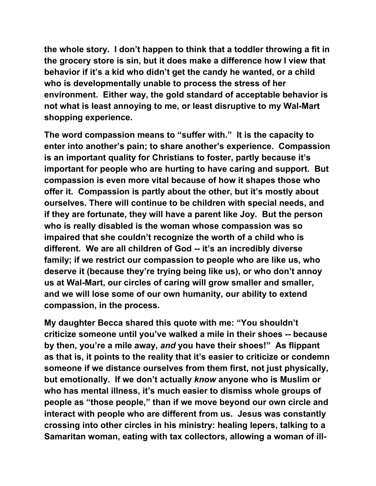**the whole story. I don't happen to think that a toddler throwing a fit in the grocery store is sin, but it does make a difference how I view that behavior if it's a kid who didn't get the candy he wanted, or a child who is developmentally unable to process the stress of her environment. Either way, the gold standard of acceptable behavior is not what is least annoying to me, or least disruptive to my Wal-Mart shopping experience.** 

**The word compassion means to "suffer with." It is the capacity to enter into another's pain; to share another's experience. Compassion is an important quality for Christians to foster, partly because it's important for people who are hurting to have caring and support. But compassion is even more vital because of how it shapes those who offer it. Compassion is partly about the other, but it's mostly about ourselves. There will continue to be children with special needs, and if they are fortunate, they will have a parent like Joy. But the person who is really disabled is the woman whose compassion was so impaired that she couldn't recognize the worth of a child who is different. We are all children of God -- it's an incredibly diverse family; if we restrict our compassion to people who are like us, who deserve it (because they're trying being like us), or who don't annoy us at Wal-Mart, our circles of caring will grow smaller and smaller, and we will lose some of our own humanity, our ability to extend compassion, in the process.** 

**My daughter Becca shared this quote with me: "You shouldn't criticize someone until you've walked a mile in their shoes -- because by then, you're a mile away,** *and* **you have their shoes!" As flippant as that is, it points to the reality that it's easier to criticize or condemn someone if we distance ourselves from them first, not just physically, but emotionally. If we don't actually** *know* **anyone who is Muslim or who has mental illness, it's much easier to dismiss whole groups of people as "those people," than if we move beyond our own circle and interact with people who are different from us. Jesus was constantly crossing into other circles in his ministry: healing lepers, talking to a Samaritan woman, eating with tax collectors, allowing a woman of ill-**